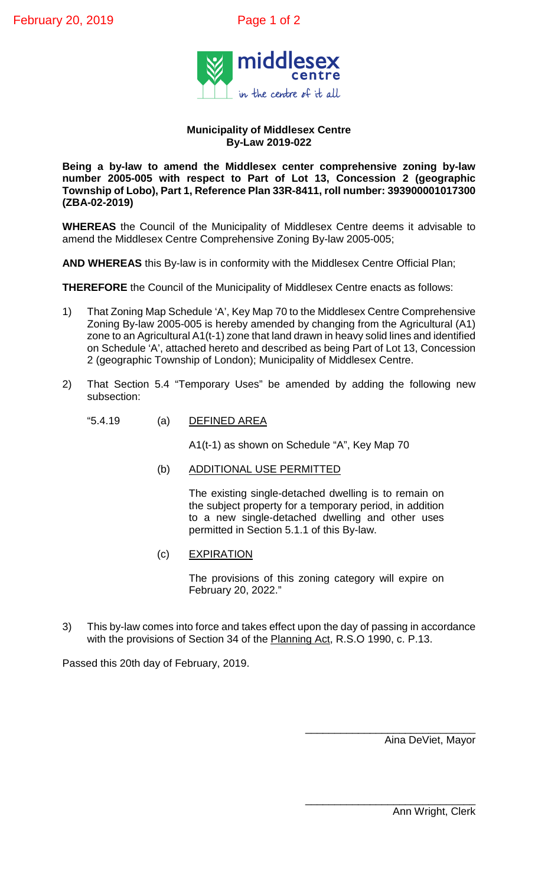

## **Municipality of Middlesex Centre By-Law 2019-022**

**Being a by-law to amend the Middlesex center comprehensive zoning by-law number 2005-005 with respect to Part of Lot 13, Concession 2 (geographic Township of Lobo), Part 1, Reference Plan 33R-8411, roll number: 393900001017300 (ZBA-02-2019)**

**WHEREAS** the Council of the Municipality of Middlesex Centre deems it advisable to amend the Middlesex Centre Comprehensive Zoning By-law 2005-005;

**AND WHEREAS** this By-law is in conformity with the Middlesex Centre Official Plan;

**THEREFORE** the Council of the Municipality of Middlesex Centre enacts as follows:

- 1) That Zoning Map Schedule 'A', Key Map 70 to the Middlesex Centre Comprehensive Zoning By-law 2005-005 is hereby amended by changing from the Agricultural (A1) zone to an Agricultural A1(t-1) zone that land drawn in heavy solid lines and identified on Schedule 'A', attached hereto and described as being Part of Lot 13, Concession 2 (geographic Township of London); Municipality of Middlesex Centre.
- 2) That Section 5.4 "Temporary Uses" be amended by adding the following new subsection:
	- "5.4.19 (a) DEFINED AREA

A1(t-1) as shown on Schedule "A", Key Map 70

(b) ADDITIONAL USE PERMITTED

The existing single-detached dwelling is to remain on the subject property for a temporary period, in addition to a new single-detached dwelling and other uses permitted in Section 5.1.1 of this By-law.

(c) EXPIRATION

The provisions of this zoning category will expire on February 20, 2022."

3) This by-law comes into force and takes effect upon the day of passing in accordance with the provisions of Section 34 of the Planning Act, R.S.O 1990, c. P.13.

Passed this 20th day of February, 2019.

\_\_\_\_\_\_\_\_\_\_\_\_\_\_\_\_\_\_\_\_\_\_\_\_\_\_\_\_\_ Aina DeViet, Mayor

\_\_\_\_\_\_\_\_\_\_\_\_\_\_\_\_\_\_\_\_\_\_\_\_\_\_\_\_\_